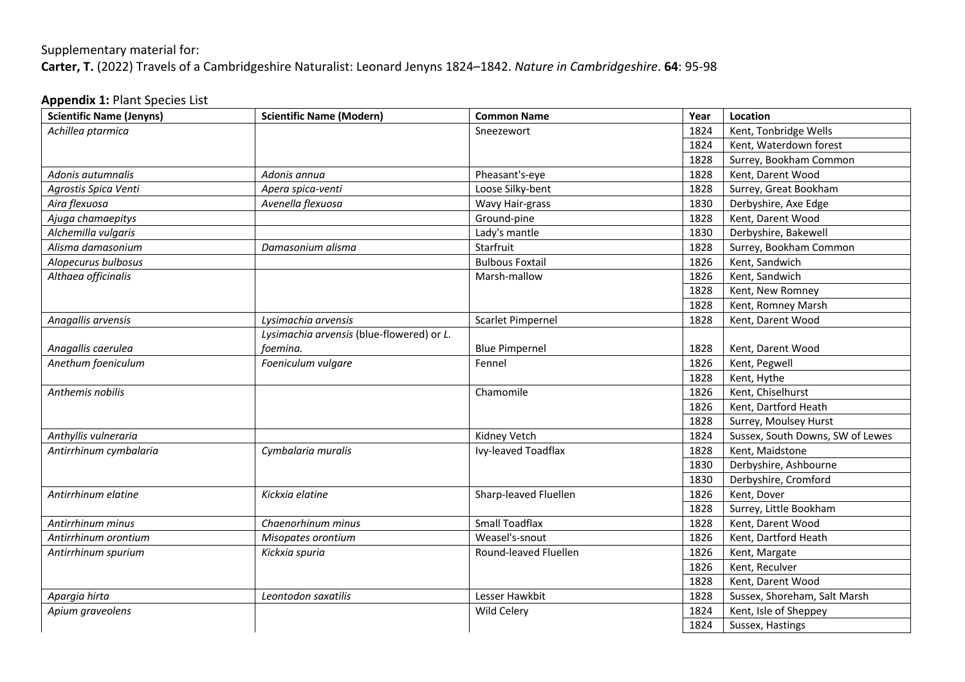## Supplementary material for: **Carter, T.** (2022) Travels of a Cambridgeshire Naturalist: Leonard Jenyns 1824–1842. *Nature in Cambridgeshire*. **64**: 95-98

## **Appendix 1:** Plant Species List

| <b>Scientific Name (Jenyns)</b> | <b>Scientific Name (Modern)</b>           | <b>Common Name</b>     | Year | Location                         |
|---------------------------------|-------------------------------------------|------------------------|------|----------------------------------|
| Achillea ptarmica               |                                           | Sneezewort             | 1824 | Kent, Tonbridge Wells            |
|                                 |                                           |                        | 1824 | Kent, Waterdown forest           |
|                                 |                                           |                        | 1828 | Surrey, Bookham Common           |
| Adonis autumnalis               | Adonis annua                              | Pheasant's-eye         | 1828 | Kent, Darent Wood                |
| Agrostis Spica Venti            | Apera spica-venti                         | Loose Silky-bent       | 1828 | Surrey, Great Bookham            |
| Aira flexuosa                   | Avenella flexuosa                         | Wavy Hair-grass        | 1830 | Derbyshire, Axe Edge             |
| Ajuga chamaepitys               |                                           | Ground-pine            | 1828 | Kent, Darent Wood                |
| Alchemilla vulgaris             |                                           | Lady's mantle          | 1830 | Derbyshire, Bakewell             |
| Alisma damasonium               | Damasonium alisma                         | Starfruit              | 1828 | Surrey, Bookham Common           |
| Alopecurus bulbosus             |                                           | <b>Bulbous Foxtail</b> | 1826 | Kent, Sandwich                   |
| Althaea officinalis             |                                           | Marsh-mallow           | 1826 | Kent, Sandwich                   |
|                                 |                                           |                        | 1828 | Kent, New Romney                 |
|                                 |                                           |                        | 1828 | Kent, Romney Marsh               |
| Anagallis arvensis              | Lysimachia arvensis                       | Scarlet Pimpernel      | 1828 | Kent, Darent Wood                |
|                                 | Lysimachia arvensis (blue-flowered) or L. |                        |      |                                  |
| Anagallis caerulea              | foemina.                                  | <b>Blue Pimpernel</b>  | 1828 | Kent, Darent Wood                |
| Anethum foeniculum              | Foeniculum vulgare                        | Fennel                 | 1826 | Kent, Pegwell                    |
|                                 |                                           |                        | 1828 | Kent, Hythe                      |
| Anthemis nobilis                |                                           | Chamomile              | 1826 | Kent, Chiselhurst                |
|                                 |                                           |                        | 1826 | Kent, Dartford Heath             |
|                                 |                                           |                        | 1828 | Surrey, Moulsey Hurst            |
| Anthyllis vulneraria            |                                           | Kidney Vetch           | 1824 | Sussex, South Downs, SW of Lewes |
| Antirrhinum cymbalaria          | Cymbalaria muralis                        | Ivy-leaved Toadflax    | 1828 | Kent, Maidstone                  |
|                                 |                                           |                        | 1830 | Derbyshire, Ashbourne            |
|                                 |                                           |                        | 1830 | Derbyshire, Cromford             |
| Antirrhinum elatine             | Kickxia elatine                           | Sharp-leaved Fluellen  | 1826 | Kent, Dover                      |
|                                 |                                           |                        | 1828 | Surrey, Little Bookham           |
| Antirrhinum minus               | Chaenorhinum minus                        | <b>Small Toadflax</b>  | 1828 | Kent, Darent Wood                |
| Antirrhinum orontium            | Misopates orontium                        | Weasel's-snout         | 1826 | Kent, Dartford Heath             |
| Antirrhinum spurium             | Kickxia spuria                            | Round-leaved Fluellen  | 1826 | Kent, Margate                    |
|                                 |                                           |                        | 1826 | Kent, Reculver                   |
|                                 |                                           |                        | 1828 | Kent, Darent Wood                |
| Apargia hirta                   | Leontodon saxatilis                       | Lesser Hawkbit         | 1828 | Sussex, Shoreham, Salt Marsh     |
| Apium graveolens                |                                           | Wild Celery            | 1824 | Kent, Isle of Sheppey            |
|                                 |                                           |                        | 1824 | Sussex, Hastings                 |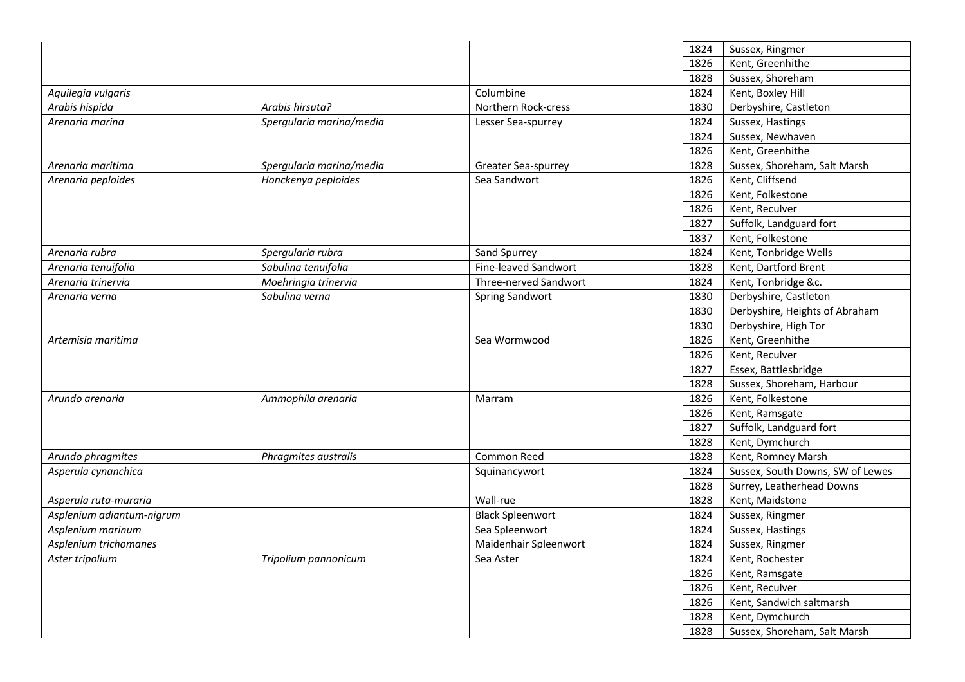|                           |                          |                         | 1824 | Sussex, Ringmer                  |
|---------------------------|--------------------------|-------------------------|------|----------------------------------|
|                           |                          |                         | 1826 | Kent, Greenhithe                 |
|                           |                          |                         | 1828 | Sussex, Shoreham                 |
| Aquilegia vulgaris        |                          | Columbine               | 1824 | Kent, Boxley Hill                |
| Arabis hispida            | Arabis hirsuta?          | Northern Rock-cress     | 1830 | Derbyshire, Castleton            |
| Arenaria marina           | Spergularia marina/media | Lesser Sea-spurrey      | 1824 | Sussex, Hastings                 |
|                           |                          |                         | 1824 | Sussex, Newhaven                 |
|                           |                          |                         | 1826 | Kent, Greenhithe                 |
| Arenaria maritima         | Spergularia marina/media | Greater Sea-spurrey     | 1828 | Sussex, Shoreham, Salt Marsh     |
| Arenaria peploides        | Honckenya peploides      | Sea Sandwort            | 1826 | Kent, Cliffsend                  |
|                           |                          |                         | 1826 | Kent, Folkestone                 |
|                           |                          |                         | 1826 | Kent, Reculver                   |
|                           |                          |                         | 1827 | Suffolk, Landguard fort          |
|                           |                          |                         | 1837 | Kent, Folkestone                 |
| Arenaria rubra            | Spergularia rubra        | Sand Spurrey            | 1824 | Kent, Tonbridge Wells            |
| Arenaria tenuifolia       | Sabulina tenuifolia      | Fine-leaved Sandwort    | 1828 | Kent, Dartford Brent             |
| Arenaria trinervia        | Moehringia trinervia     | Three-nerved Sandwort   | 1824 | Kent, Tonbridge &c.              |
| Arenaria verna            | Sabulina verna           | Spring Sandwort         | 1830 | Derbyshire, Castleton            |
|                           |                          |                         | 1830 | Derbyshire, Heights of Abraham   |
|                           |                          |                         | 1830 | Derbyshire, High Tor             |
| Artemisia maritima        |                          | Sea Wormwood            | 1826 | Kent, Greenhithe                 |
|                           |                          |                         | 1826 | Kent, Reculver                   |
|                           |                          |                         | 1827 | Essex, Battlesbridge             |
|                           |                          |                         | 1828 | Sussex, Shoreham, Harbour        |
| Arundo arenaria           | Ammophila arenaria       | Marram                  | 1826 | Kent, Folkestone                 |
|                           |                          |                         | 1826 | Kent, Ramsgate                   |
|                           |                          |                         | 1827 | Suffolk, Landguard fort          |
|                           |                          |                         | 1828 | Kent, Dymchurch                  |
| Arundo phragmites         | Phragmites australis     | Common Reed             | 1828 | Kent, Romney Marsh               |
| Asperula cynanchica       |                          | Squinancywort           | 1824 | Sussex, South Downs, SW of Lewes |
|                           |                          |                         | 1828 | Surrey, Leatherhead Downs        |
| Asperula ruta-muraria     |                          | Wall-rue                | 1828 | Kent, Maidstone                  |
| Asplenium adiantum-nigrum |                          | <b>Black Spleenwort</b> | 1824 | Sussex, Ringmer                  |
| Asplenium marinum         |                          | Sea Spleenwort          | 1824 | Sussex, Hastings                 |
| Asplenium trichomanes     |                          | Maidenhair Spleenwort   | 1824 | Sussex, Ringmer                  |
| Aster tripolium           | Tripolium pannonicum     | Sea Aster               | 1824 | Kent, Rochester                  |
|                           |                          |                         | 1826 | Kent, Ramsgate                   |
|                           |                          |                         | 1826 | Kent, Reculver                   |
|                           |                          |                         | 1826 | Kent, Sandwich saltmarsh         |
|                           |                          |                         | 1828 | Kent, Dymchurch                  |
|                           |                          |                         | 1828 | Sussex, Shoreham, Salt Marsh     |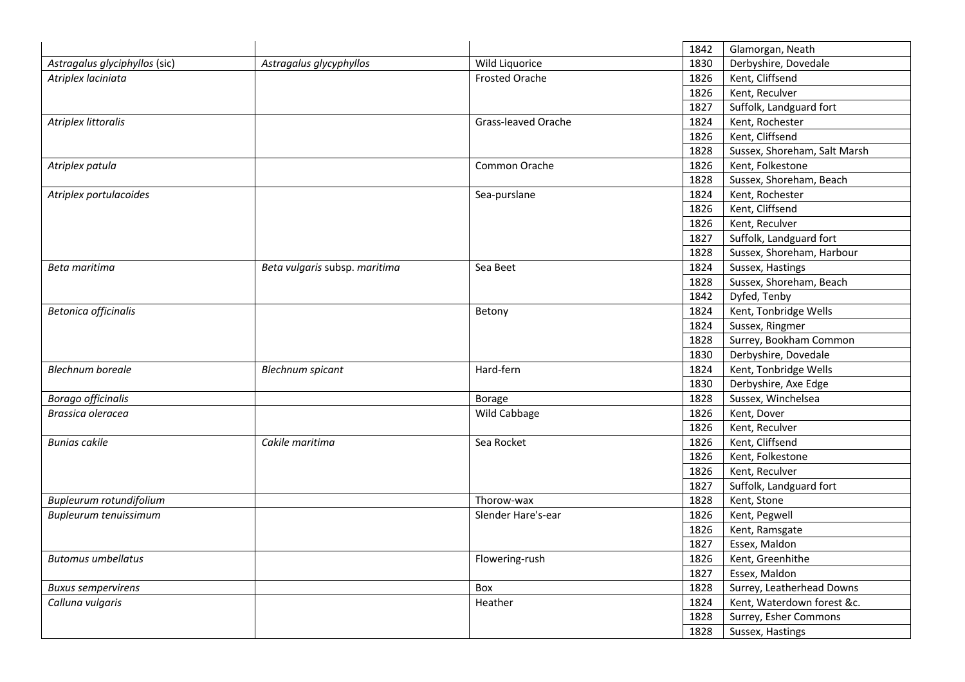|                               |                               |                       | 1842 | Glamorgan, Neath             |
|-------------------------------|-------------------------------|-----------------------|------|------------------------------|
| Astragalus glyciphyllos (sic) | Astragalus glycyphyllos       | Wild Liquorice        | 1830 | Derbyshire, Dovedale         |
| Atriplex laciniata            |                               | <b>Frosted Orache</b> | 1826 | Kent, Cliffsend              |
|                               |                               |                       | 1826 | Kent, Reculver               |
|                               |                               |                       | 1827 | Suffolk, Landguard fort      |
| Atriplex littoralis           |                               | Grass-leaved Orache   | 1824 | Kent, Rochester              |
|                               |                               |                       | 1826 | Kent, Cliffsend              |
|                               |                               |                       | 1828 | Sussex, Shoreham, Salt Marsh |
| Atriplex patula               |                               | Common Orache         | 1826 | Kent, Folkestone             |
|                               |                               |                       | 1828 | Sussex, Shoreham, Beach      |
| Atriplex portulacoides        |                               | Sea-purslane          | 1824 | Kent, Rochester              |
|                               |                               |                       | 1826 | Kent, Cliffsend              |
|                               |                               |                       | 1826 | Kent, Reculver               |
|                               |                               |                       | 1827 | Suffolk, Landguard fort      |
|                               |                               |                       | 1828 | Sussex, Shoreham, Harbour    |
| Beta maritima                 | Beta vulgaris subsp. maritima | Sea Beet              | 1824 | Sussex, Hastings             |
|                               |                               |                       | 1828 | Sussex, Shoreham, Beach      |
|                               |                               |                       | 1842 | Dyfed, Tenby                 |
| <b>Betonica officinalis</b>   |                               | Betony                | 1824 | Kent, Tonbridge Wells        |
|                               |                               |                       | 1824 | Sussex, Ringmer              |
|                               |                               |                       | 1828 | Surrey, Bookham Common       |
|                               |                               |                       | 1830 | Derbyshire, Dovedale         |
| <b>Blechnum boreale</b>       | <b>Blechnum spicant</b>       | Hard-fern             | 1824 | Kent, Tonbridge Wells        |
|                               |                               |                       | 1830 | Derbyshire, Axe Edge         |
| <b>Borago officinalis</b>     |                               | <b>Borage</b>         | 1828 | Sussex, Winchelsea           |
| Brassica oleracea             |                               | Wild Cabbage          | 1826 | Kent, Dover                  |
|                               |                               |                       | 1826 | Kent, Reculver               |
| <b>Bunias cakile</b>          | Cakile maritima               | Sea Rocket            | 1826 | Kent, Cliffsend              |
|                               |                               |                       | 1826 | Kent, Folkestone             |
|                               |                               |                       | 1826 | Kent, Reculver               |
|                               |                               |                       | 1827 | Suffolk, Landguard fort      |
| Bupleurum rotundifolium       |                               | Thorow-wax            | 1828 | Kent, Stone                  |
| Bupleurum tenuissimum         |                               | Slender Hare's-ear    | 1826 | Kent, Pegwell                |
|                               |                               |                       | 1826 | Kent, Ramsgate               |
|                               |                               |                       | 1827 | Essex, Maldon                |
| <b>Butomus umbellatus</b>     |                               | Flowering-rush        | 1826 | Kent, Greenhithe             |
|                               |                               |                       | 1827 | Essex, Maldon                |
| <b>Buxus sempervirens</b>     |                               | Box                   | 1828 | Surrey, Leatherhead Downs    |
| Calluna vulgaris              |                               | Heather               | 1824 | Kent, Waterdown forest &c.   |
|                               |                               |                       | 1828 | Surrey, Esher Commons        |
|                               |                               |                       | 1828 | Sussex, Hastings             |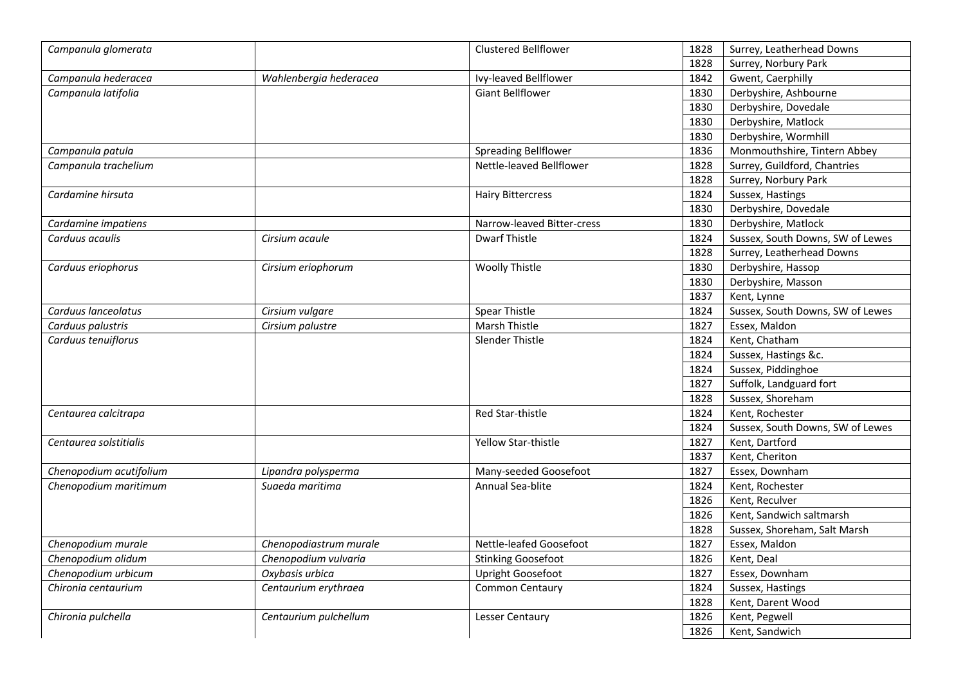| Campanula glomerata     |                        | Clustered Bellflower        | 1828 | Surrey, Leatherhead Downs        |
|-------------------------|------------------------|-----------------------------|------|----------------------------------|
|                         |                        |                             | 1828 | Surrey, Norbury Park             |
| Campanula hederacea     | Wahlenbergia hederacea | Ivy-leaved Bellflower       | 1842 | Gwent, Caerphilly                |
| Campanula latifolia     |                        | <b>Giant Bellflower</b>     | 1830 | Derbyshire, Ashbourne            |
|                         |                        |                             | 1830 | Derbyshire, Dovedale             |
|                         |                        |                             | 1830 | Derbyshire, Matlock              |
|                         |                        |                             | 1830 | Derbyshire, Wormhill             |
| Campanula patula        |                        | <b>Spreading Bellflower</b> | 1836 | Monmouthshire, Tintern Abbey     |
| Campanula trachelium    |                        | Nettle-leaved Bellflower    | 1828 | Surrey, Guildford, Chantries     |
|                         |                        |                             | 1828 | Surrey, Norbury Park             |
| Cardamine hirsuta       |                        | <b>Hairy Bittercress</b>    | 1824 | Sussex, Hastings                 |
|                         |                        |                             | 1830 | Derbyshire, Dovedale             |
| Cardamine impatiens     |                        | Narrow-leaved Bitter-cress  | 1830 | Derbyshire, Matlock              |
| Carduus acaulis         | Cirsium acaule         | Dwarf Thistle               | 1824 | Sussex, South Downs, SW of Lewes |
|                         |                        |                             | 1828 | Surrey, Leatherhead Downs        |
| Carduus eriophorus      | Cirsium eriophorum     | <b>Woolly Thistle</b>       | 1830 | Derbyshire, Hassop               |
|                         |                        |                             | 1830 | Derbyshire, Masson               |
|                         |                        |                             | 1837 | Kent, Lynne                      |
| Carduus Ianceolatus     | Cirsium vulgare        | <b>Spear Thistle</b>        | 1824 | Sussex, South Downs, SW of Lewes |
| Carduus palustris       | Cirsium palustre       | Marsh Thistle               | 1827 | Essex, Maldon                    |
| Carduus tenuiflorus     |                        | Slender Thistle             | 1824 | Kent, Chatham                    |
|                         |                        |                             | 1824 | Sussex, Hastings &c.             |
|                         |                        |                             | 1824 | Sussex, Piddinghoe               |
|                         |                        |                             | 1827 | Suffolk, Landguard fort          |
|                         |                        |                             | 1828 | Sussex, Shoreham                 |
| Centaurea calcitrapa    |                        | Red Star-thistle            | 1824 | Kent, Rochester                  |
|                         |                        |                             | 1824 | Sussex, South Downs, SW of Lewes |
| Centaurea solstitialis  |                        | Yellow Star-thistle         | 1827 | Kent, Dartford                   |
|                         |                        |                             | 1837 | Kent, Cheriton                   |
| Chenopodium acutifolium | Lipandra polysperma    | Many-seeded Goosefoot       | 1827 | Essex, Downham                   |
| Chenopodium maritimum   | Suaeda maritima        | Annual Sea-blite            | 1824 | Kent, Rochester                  |
|                         |                        |                             | 1826 | Kent, Reculver                   |
|                         |                        |                             | 1826 | Kent, Sandwich saltmarsh         |
|                         |                        |                             | 1828 | Sussex, Shoreham, Salt Marsh     |
| Chenopodium murale      | Chenopodiastrum murale | Nettle-leafed Goosefoot     | 1827 | Essex, Maldon                    |
| Chenopodium olidum      | Chenopodium vulvaria   | <b>Stinking Goosefoot</b>   | 1826 | Kent, Deal                       |
| Chenopodium urbicum     | Oxybasis urbica        | Upright Goosefoot           | 1827 | Essex, Downham                   |
| Chironia centaurium     | Centaurium erythraea   | Common Centaury             | 1824 | Sussex, Hastings                 |
|                         |                        |                             | 1828 | Kent, Darent Wood                |
| Chironia pulchella      | Centaurium pulchellum  | Lesser Centaury             | 1826 | Kent, Pegwell                    |
|                         |                        |                             | 1826 | Kent, Sandwich                   |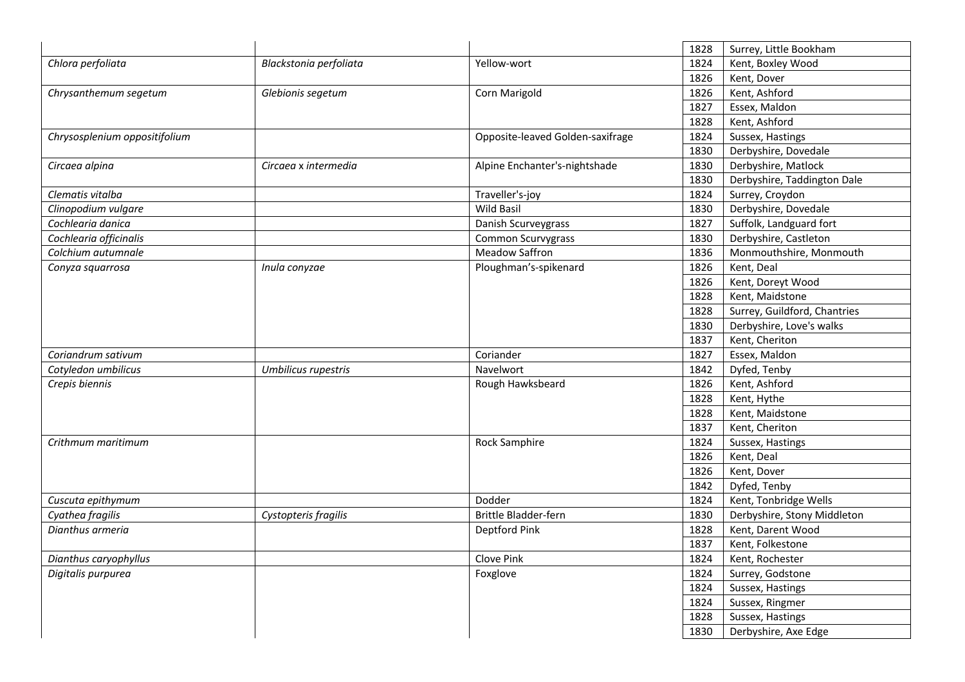|                               |                        |                                  | 1828 | Surrey, Little Bookham       |
|-------------------------------|------------------------|----------------------------------|------|------------------------------|
| Chlora perfoliata             | Blackstonia perfoliata | Yellow-wort                      | 1824 | Kent, Boxley Wood            |
|                               |                        |                                  | 1826 | Kent, Dover                  |
| Chrysanthemum segetum         | Glebionis segetum      | Corn Marigold                    | 1826 | Kent, Ashford                |
|                               |                        |                                  | 1827 | Essex, Maldon                |
|                               |                        |                                  | 1828 | Kent, Ashford                |
| Chrysosplenium oppositifolium |                        | Opposite-leaved Golden-saxifrage | 1824 | Sussex, Hastings             |
|                               |                        |                                  | 1830 | Derbyshire, Dovedale         |
| Circaea alpina                | Circaea x intermedia   | Alpine Enchanter's-nightshade    | 1830 | Derbyshire, Matlock          |
|                               |                        |                                  | 1830 | Derbyshire, Taddington Dale  |
| Clematis vitalba              |                        | Traveller's-joy                  | 1824 | Surrey, Croydon              |
| Clinopodium vulgare           |                        | <b>Wild Basil</b>                | 1830 | Derbyshire, Dovedale         |
| Cochlearia danica             |                        | Danish Scurveygrass              | 1827 | Suffolk, Landguard fort      |
| Cochlearia officinalis        |                        | Common Scurvygrass               | 1830 | Derbyshire, Castleton        |
| Colchium autumnale            |                        | <b>Meadow Saffron</b>            | 1836 | Monmouthshire, Monmouth      |
| Conyza squarrosa              | Inula conyzae          | Ploughman's-spikenard            | 1826 | Kent, Deal                   |
|                               |                        |                                  | 1826 | Kent, Doreyt Wood            |
|                               |                        |                                  | 1828 | Kent, Maidstone              |
|                               |                        |                                  | 1828 | Surrey, Guildford, Chantries |
|                               |                        |                                  | 1830 | Derbyshire, Love's walks     |
|                               |                        |                                  | 1837 | Kent, Cheriton               |
| Coriandrum sativum            |                        | Coriander                        | 1827 | Essex, Maldon                |
| Cotyledon umbilicus           | Umbilicus rupestris    | Navelwort                        | 1842 | Dyfed, Tenby                 |
| Crepis biennis                |                        | Rough Hawksbeard                 | 1826 | Kent, Ashford                |
|                               |                        |                                  | 1828 | Kent, Hythe                  |
|                               |                        |                                  | 1828 | Kent, Maidstone              |
|                               |                        |                                  | 1837 | Kent, Cheriton               |
| Crithmum maritimum            |                        | <b>Rock Samphire</b>             | 1824 | Sussex, Hastings             |
|                               |                        |                                  | 1826 | Kent, Deal                   |
|                               |                        |                                  | 1826 | Kent, Dover                  |
|                               |                        |                                  | 1842 | Dyfed, Tenby                 |
| Cuscuta epithymum             |                        | Dodder                           | 1824 | Kent, Tonbridge Wells        |
| Cyathea fragilis              | Cystopteris fragilis   | <b>Brittle Bladder-fern</b>      | 1830 | Derbyshire, Stony Middleton  |
| Dianthus armeria              |                        | Deptford Pink                    | 1828 | Kent, Darent Wood            |
|                               |                        |                                  | 1837 | Kent, Folkestone             |
| Dianthus caryophyllus         |                        | Clove Pink                       | 1824 | Kent, Rochester              |
| Digitalis purpurea            |                        | Foxglove                         | 1824 | Surrey, Godstone             |
|                               |                        |                                  | 1824 | Sussex, Hastings             |
|                               |                        |                                  | 1824 | Sussex, Ringmer              |
|                               |                        |                                  | 1828 | Sussex, Hastings             |
|                               |                        |                                  | 1830 | Derbyshire, Axe Edge         |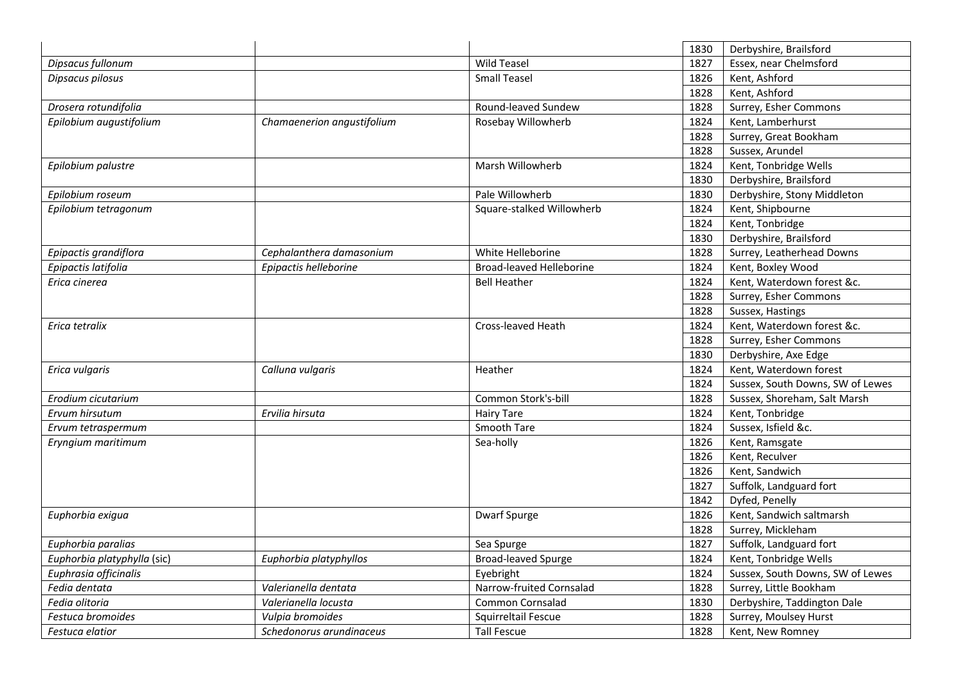|                             |                            |                                 | 1830 | Derbyshire, Brailsford           |
|-----------------------------|----------------------------|---------------------------------|------|----------------------------------|
| Dipsacus fullonum           |                            | <b>Wild Teasel</b>              | 1827 | Essex, near Chelmsford           |
| Dipsacus pilosus            |                            | <b>Small Teasel</b>             | 1826 | Kent, Ashford                    |
|                             |                            |                                 | 1828 | Kent, Ashford                    |
| Drosera rotundifolia        |                            | Round-leaved Sundew             | 1828 | Surrey, Esher Commons            |
| Epilobium augustifolium     | Chamaenerion angustifolium | Rosebay Willowherb              | 1824 | Kent, Lamberhurst                |
|                             |                            |                                 | 1828 | Surrey, Great Bookham            |
|                             |                            |                                 | 1828 | Sussex, Arundel                  |
| Epilobium palustre          |                            | Marsh Willowherb                | 1824 | Kent, Tonbridge Wells            |
|                             |                            |                                 | 1830 | Derbyshire, Brailsford           |
| Epilobium roseum            |                            | Pale Willowherb                 | 1830 | Derbyshire, Stony Middleton      |
| Epilobium tetragonum        |                            | Square-stalked Willowherb       | 1824 | Kent, Shipbourne                 |
|                             |                            |                                 | 1824 | Kent, Tonbridge                  |
|                             |                            |                                 | 1830 | Derbyshire, Brailsford           |
| Epipactis grandiflora       | Cephalanthera damasonium   | White Helleborine               | 1828 | Surrey, Leatherhead Downs        |
| Epipactis latifolia         | Epipactis helleborine      | <b>Broad-leaved Helleborine</b> | 1824 | Kent, Boxley Wood                |
| Erica cinerea               |                            | <b>Bell Heather</b>             | 1824 | Kent, Waterdown forest &c.       |
|                             |                            |                                 | 1828 | Surrey, Esher Commons            |
|                             |                            |                                 | 1828 | Sussex, Hastings                 |
| Erica tetralix              |                            | Cross-leaved Heath              | 1824 | Kent, Waterdown forest &c.       |
|                             |                            |                                 | 1828 | Surrey, Esher Commons            |
|                             |                            |                                 | 1830 | Derbyshire, Axe Edge             |
| Erica vulgaris              | Calluna vulgaris           | Heather                         | 1824 | Kent, Waterdown forest           |
|                             |                            |                                 | 1824 | Sussex, South Downs, SW of Lewes |
| Erodium cicutarium          |                            | Common Stork's-bill             | 1828 | Sussex, Shoreham, Salt Marsh     |
| Ervum hirsutum              | Ervilia hirsuta            | <b>Hairy Tare</b>               | 1824 | Kent, Tonbridge                  |
| Ervum tetraspermum          |                            | Smooth Tare                     | 1824 | Sussex, Isfield &c.              |
| Eryngium maritimum          |                            | Sea-holly                       | 1826 | Kent, Ramsgate                   |
|                             |                            |                                 | 1826 | Kent, Reculver                   |
|                             |                            |                                 | 1826 | Kent, Sandwich                   |
|                             |                            |                                 | 1827 | Suffolk, Landguard fort          |
|                             |                            |                                 | 1842 | Dyfed, Penelly                   |
| Euphorbia exigua            |                            | <b>Dwarf Spurge</b>             | 1826 | Kent, Sandwich saltmarsh         |
|                             |                            |                                 | 1828 | Surrey, Mickleham                |
| Euphorbia paralias          |                            | Sea Spurge                      | 1827 | Suffolk, Landguard fort          |
| Euphorbia platyphylla (sic) | Euphorbia platyphyllos     | <b>Broad-leaved Spurge</b>      | 1824 | Kent, Tonbridge Wells            |
| Euphrasia officinalis       |                            | Eyebright                       | 1824 | Sussex, South Downs, SW of Lewes |
| Fedia dentata               | Valerianella dentata       | Narrow-fruited Cornsalad        | 1828 | Surrey, Little Bookham           |
| Fedia olitoria              | Valerianella locusta       | Common Cornsalad                | 1830 | Derbyshire, Taddington Dale      |
| Festuca bromoides           | Vulpia bromoides           | Squirreltail Fescue             | 1828 | Surrey, Moulsey Hurst            |
| Festuca elatior             | Schedonorus arundinaceus   | <b>Tall Fescue</b>              | 1828 | Kent, New Romney                 |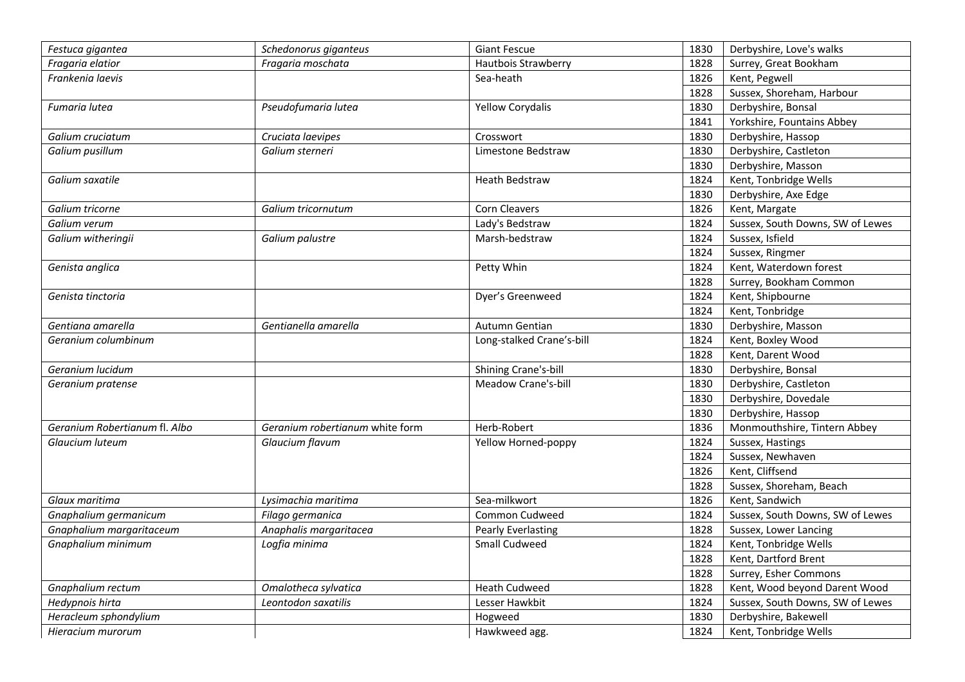| Festuca gigantea              | Schedonorus giganteus           | <b>Giant Fescue</b>       | 1830 | Derbyshire, Love's walks         |
|-------------------------------|---------------------------------|---------------------------|------|----------------------------------|
| Fragaria elatior              | Fragaria moschata               | Hautbois Strawberry       | 1828 | Surrey, Great Bookham            |
| Frankenia laevis              |                                 | Sea-heath                 | 1826 | Kent, Pegwell                    |
|                               |                                 |                           | 1828 | Sussex, Shoreham, Harbour        |
| Fumaria lutea                 | Pseudofumaria lutea             | <b>Yellow Corydalis</b>   | 1830 | Derbyshire, Bonsal               |
|                               |                                 |                           | 1841 | Yorkshire, Fountains Abbey       |
| Galium cruciatum              | Cruciata laevipes               | Crosswort                 | 1830 | Derbyshire, Hassop               |
| Galium pusillum               | Galium sterneri                 | Limestone Bedstraw        | 1830 | Derbyshire, Castleton            |
|                               |                                 |                           | 1830 | Derbyshire, Masson               |
| Galium saxatile               |                                 | <b>Heath Bedstraw</b>     | 1824 | Kent, Tonbridge Wells            |
|                               |                                 |                           | 1830 | Derbyshire, Axe Edge             |
| Galium tricorne               | Galium tricornutum              | Corn Cleavers             | 1826 | Kent, Margate                    |
| Galium verum                  |                                 | Lady's Bedstraw           | 1824 | Sussex, South Downs, SW of Lewes |
| Galium witheringii            | Galium palustre                 | Marsh-bedstraw            | 1824 | Sussex, Isfield                  |
|                               |                                 |                           | 1824 | Sussex, Ringmer                  |
| Genista anglica               |                                 | Petty Whin                | 1824 | Kent, Waterdown forest           |
|                               |                                 |                           | 1828 | Surrey, Bookham Common           |
| Genista tinctoria             |                                 | Dyer's Greenweed          | 1824 | Kent, Shipbourne                 |
|                               |                                 |                           | 1824 | Kent, Tonbridge                  |
| Gentiana amarella             | Gentianella amarella            | Autumn Gentian            | 1830 | Derbyshire, Masson               |
| Geranium columbinum           |                                 | Long-stalked Crane's-bill | 1824 | Kent, Boxley Wood                |
|                               |                                 |                           | 1828 | Kent, Darent Wood                |
| Geranium lucidum              |                                 | Shining Crane's-bill      | 1830 | Derbyshire, Bonsal               |
| Geranium pratense             |                                 | Meadow Crane's-bill       | 1830 | Derbyshire, Castleton            |
|                               |                                 |                           | 1830 | Derbyshire, Dovedale             |
|                               |                                 |                           | 1830 | Derbyshire, Hassop               |
| Geranium Robertianum fl. Albo | Geranium robertianum white form | Herb-Robert               | 1836 | Monmouthshire, Tintern Abbey     |
| Glaucium luteum               | Glaucium flavum                 | Yellow Horned-poppy       | 1824 | Sussex, Hastings                 |
|                               |                                 |                           | 1824 | Sussex, Newhaven                 |
|                               |                                 |                           | 1826 | Kent, Cliffsend                  |
|                               |                                 |                           | 1828 | Sussex, Shoreham, Beach          |
| Glaux maritima                | Lysimachia maritima             | Sea-milkwort              | 1826 | Kent, Sandwich                   |
| Gnaphalium germanicum         | Filago germanica                | Common Cudweed            | 1824 | Sussex, South Downs, SW of Lewes |
| Gnaphalium margaritaceum      | Anaphalis margaritacea          | <b>Pearly Everlasting</b> | 1828 | Sussex, Lower Lancing            |
| Gnaphalium minimum            | Logfia minima                   | Small Cudweed             | 1824 | Kent, Tonbridge Wells            |
|                               |                                 |                           | 1828 | Kent, Dartford Brent             |
|                               |                                 |                           | 1828 | Surrey, Esher Commons            |
| Gnaphalium rectum             | Omalotheca sylvatica            | <b>Heath Cudweed</b>      | 1828 | Kent, Wood beyond Darent Wood    |
| Hedypnois hirta               | Leontodon saxatilis             | Lesser Hawkbit            | 1824 | Sussex, South Downs, SW of Lewes |
| Heracleum sphondylium         |                                 | Hogweed                   | 1830 | Derbyshire, Bakewell             |
| Hieracium murorum             |                                 | Hawkweed agg.             | 1824 | Kent, Tonbridge Wells            |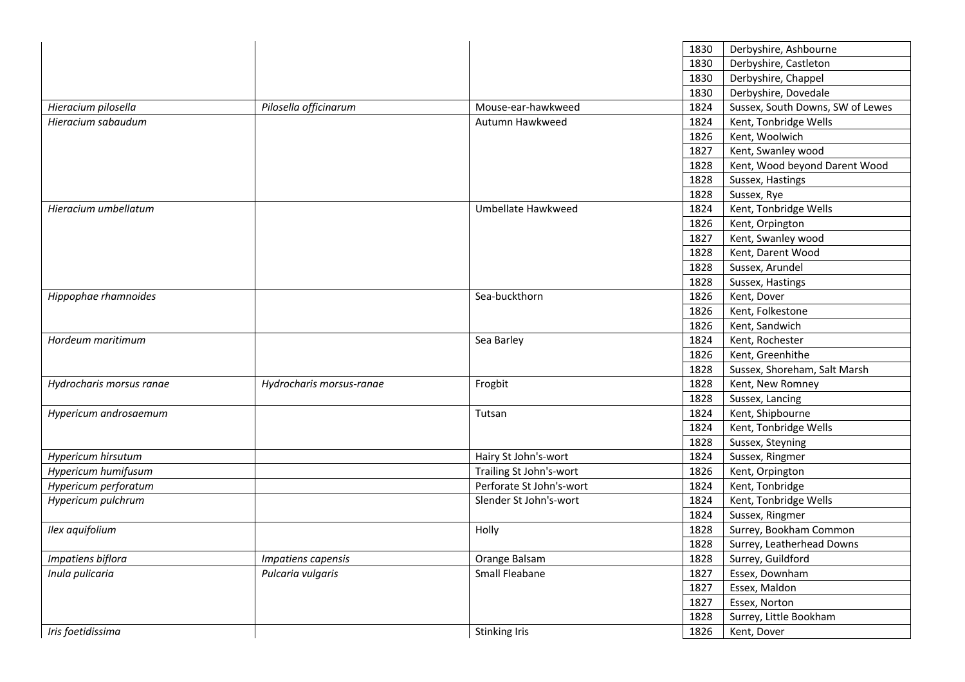|                          |                          |                          | Derbyshire, Ashbourne<br>1830            |  |
|--------------------------|--------------------------|--------------------------|------------------------------------------|--|
|                          |                          |                          | 1830<br>Derbyshire, Castleton            |  |
|                          |                          |                          | 1830<br>Derbyshire, Chappel              |  |
|                          |                          |                          | Derbyshire, Dovedale<br>1830             |  |
| Hieracium pilosella      | Pilosella officinarum    | Mouse-ear-hawkweed       | Sussex, South Downs, SW of Lewes<br>1824 |  |
| Hieracium sabaudum       |                          | Autumn Hawkweed          | Kent, Tonbridge Wells<br>1824            |  |
|                          |                          |                          | Kent, Woolwich<br>1826                   |  |
|                          |                          |                          | 1827<br>Kent, Swanley wood               |  |
|                          |                          |                          | 1828<br>Kent, Wood beyond Darent Wood    |  |
|                          |                          |                          | 1828<br>Sussex, Hastings                 |  |
|                          |                          |                          | 1828<br>Sussex, Rye                      |  |
| Hieracium umbellatum     |                          | Umbellate Hawkweed       | Kent, Tonbridge Wells<br>1824            |  |
|                          |                          |                          | 1826<br>Kent, Orpington                  |  |
|                          |                          |                          | 1827<br>Kent, Swanley wood               |  |
|                          |                          |                          | 1828<br>Kent, Darent Wood                |  |
|                          |                          |                          | 1828<br>Sussex, Arundel                  |  |
|                          |                          |                          | 1828<br>Sussex, Hastings                 |  |
| Hippophae rhamnoides     |                          | Sea-buckthorn            | 1826<br>Kent, Dover                      |  |
|                          |                          |                          | 1826<br>Kent, Folkestone                 |  |
|                          |                          |                          | 1826<br>Kent, Sandwich                   |  |
| Hordeum maritimum        |                          | Sea Barley               | Kent, Rochester<br>1824                  |  |
|                          |                          |                          | 1826<br>Kent, Greenhithe                 |  |
|                          |                          |                          | 1828<br>Sussex, Shoreham, Salt Marsh     |  |
| Hydrocharis morsus ranae | Hydrocharis morsus-ranae | Frogbit                  | 1828<br>Kent, New Romney                 |  |
|                          |                          |                          | 1828<br>Sussex, Lancing                  |  |
| Hypericum androsaemum    |                          | Tutsan                   | 1824<br>Kent, Shipbourne                 |  |
|                          |                          |                          | 1824<br>Kent, Tonbridge Wells            |  |
|                          |                          |                          | 1828<br>Sussex, Steyning                 |  |
| Hypericum hirsutum       |                          | Hairy St John's-wort     | 1824<br>Sussex, Ringmer                  |  |
| Hypericum humifusum      |                          | Trailing St John's-wort  | 1826<br>Kent, Orpington                  |  |
| Hypericum perforatum     |                          | Perforate St John's-wort | 1824<br>Kent, Tonbridge                  |  |
| Hypericum pulchrum       |                          | Slender St John's-wort   | 1824<br>Kent, Tonbridge Wells            |  |
|                          |                          |                          | 1824<br>Sussex, Ringmer                  |  |
| Ilex aquifolium          |                          | Holly                    | Surrey, Bookham Common<br>1828           |  |
|                          |                          |                          | 1828<br>Surrey, Leatherhead Downs        |  |
| Impatiens biflora        | Impatiens capensis       | Orange Balsam            | 1828<br>Surrey, Guildford                |  |
| Inula pulicaria          | Pulcaria vulgaris        | Small Fleabane           | 1827<br>Essex, Downham                   |  |
|                          |                          |                          | 1827<br>Essex, Maldon                    |  |
|                          |                          |                          | 1827<br>Essex, Norton                    |  |
|                          |                          |                          | 1828<br>Surrey, Little Bookham           |  |
|                          |                          |                          |                                          |  |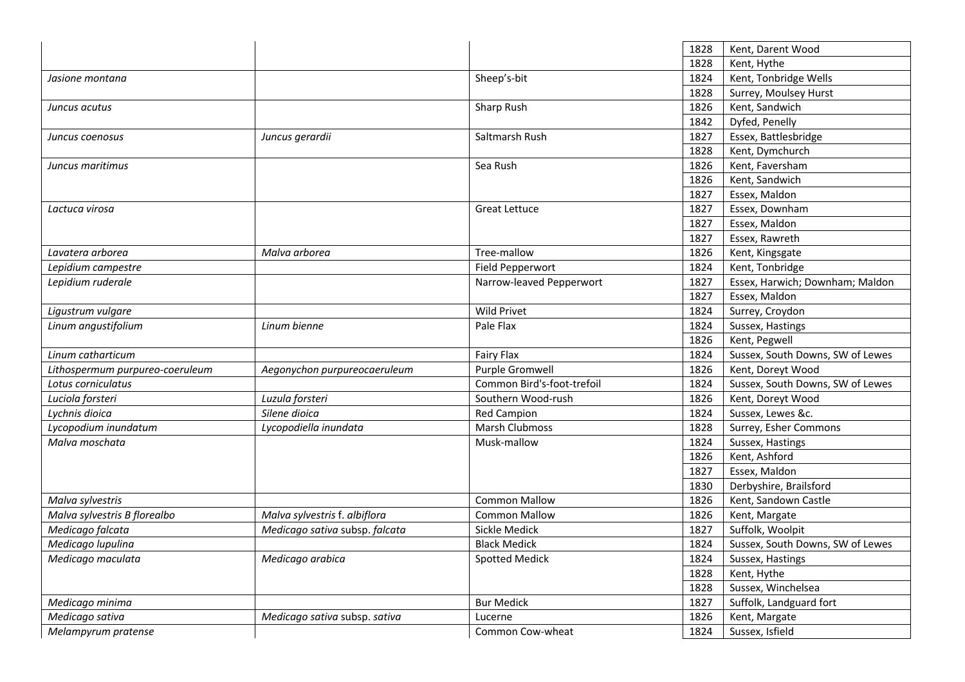|                                 |                                |                            | 1828 | Kent, Darent Wood                |
|---------------------------------|--------------------------------|----------------------------|------|----------------------------------|
|                                 |                                |                            | 1828 | Kent, Hythe                      |
| Jasione montana                 |                                | Sheep's-bit                | 1824 | Kent, Tonbridge Wells            |
|                                 |                                |                            | 1828 | Surrey, Moulsey Hurst            |
| Juncus acutus                   |                                | Sharp Rush                 | 1826 | Kent, Sandwich                   |
|                                 |                                |                            | 1842 | Dyfed, Penelly                   |
| Juncus coenosus                 | Juncus gerardii                | Saltmarsh Rush             | 1827 | Essex, Battlesbridge             |
|                                 |                                |                            | 1828 | Kent, Dymchurch                  |
| Juncus maritimus                |                                | Sea Rush                   | 1826 | Kent, Faversham                  |
|                                 |                                |                            | 1826 | Kent, Sandwich                   |
|                                 |                                |                            | 1827 | Essex, Maldon                    |
| Lactuca virosa                  |                                | <b>Great Lettuce</b>       | 1827 | Essex, Downham                   |
|                                 |                                |                            | 1827 | Essex, Maldon                    |
|                                 |                                |                            | 1827 | Essex, Rawreth                   |
| Lavatera arborea                | Malva arborea                  | Tree-mallow                | 1826 | Kent, Kingsgate                  |
| Lepidium campestre              |                                | Field Pepperwort           | 1824 | Kent, Tonbridge                  |
| Lepidium ruderale               |                                | Narrow-leaved Pepperwort   | 1827 | Essex, Harwich; Downham; Maldon  |
|                                 |                                |                            | 1827 | Essex, Maldon                    |
| Ligustrum vulgare               |                                | <b>Wild Privet</b>         | 1824 | Surrey, Croydon                  |
| Linum angustifolium             | Linum bienne                   | Pale Flax                  | 1824 | Sussex, Hastings                 |
|                                 |                                |                            | 1826 | Kent, Pegwell                    |
| Linum catharticum               |                                | <b>Fairy Flax</b>          | 1824 | Sussex, South Downs, SW of Lewes |
| Lithospermum purpureo-coeruleum | Aegonychon purpureocaeruleum   | Purple Gromwell            | 1826 | Kent, Doreyt Wood                |
| Lotus corniculatus              |                                | Common Bird's-foot-trefoil | 1824 | Sussex, South Downs, SW of Lewes |
| Luciola forsteri                | Luzula forsteri                | Southern Wood-rush         | 1826 | Kent, Doreyt Wood                |
| Lychnis dioica                  | Silene dioica                  | <b>Red Campion</b>         | 1824 | Sussex, Lewes &c.                |
| Lycopodium inundatum            | Lycopodiella inundata          | Marsh Clubmoss             | 1828 | Surrey, Esher Commons            |
| Malva moschata                  |                                | Musk-mallow                | 1824 | Sussex, Hastings                 |
|                                 |                                |                            | 1826 | Kent, Ashford                    |
|                                 |                                |                            | 1827 | Essex, Maldon                    |
|                                 |                                |                            | 1830 | Derbyshire, Brailsford           |
| Malva sylvestris                |                                | <b>Common Mallow</b>       | 1826 | Kent, Sandown Castle             |
| Malva sylvestris B florealbo    | Malva sylvestris f. albiflora  | <b>Common Mallow</b>       | 1826 | Kent, Margate                    |
| Medicago falcata                | Medicago sativa subsp. falcata | Sickle Medick              | 1827 | Suffolk, Woolpit                 |
| Medicago lupulina               |                                | <b>Black Medick</b>        | 1824 | Sussex, South Downs, SW of Lewes |
| Medicago maculata               | Medicago arabica               | <b>Spotted Medick</b>      | 1824 | Sussex, Hastings                 |
|                                 |                                |                            | 1828 | Kent, Hythe                      |
|                                 |                                |                            | 1828 | Sussex, Winchelsea               |
| Medicago minima                 |                                | <b>Bur Medick</b>          | 1827 | Suffolk, Landguard fort          |
| Medicago sativa                 | Medicago sativa subsp. sativa  | Lucerne                    | 1826 | Kent, Margate                    |
| Melampyrum pratense             |                                | Common Cow-wheat           | 1824 | Sussex, Isfield                  |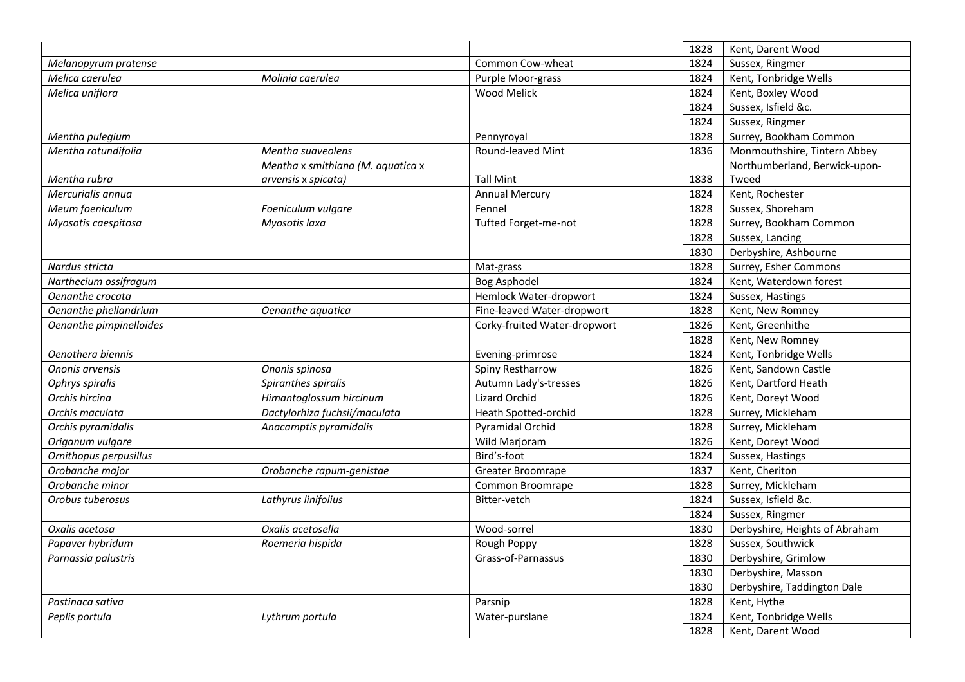|                         |                                   |                              | 1828 | Kent, Darent Wood              |
|-------------------------|-----------------------------------|------------------------------|------|--------------------------------|
| Melanopyrum pratense    |                                   | Common Cow-wheat             | 1824 | Sussex, Ringmer                |
| Melica caerulea         | Molinia caerulea                  | Purple Moor-grass            | 1824 | Kent, Tonbridge Wells          |
| Melica uniflora         |                                   | <b>Wood Melick</b>           | 1824 | Kent, Boxley Wood              |
|                         |                                   |                              | 1824 | Sussex, Isfield &c.            |
|                         |                                   |                              | 1824 | Sussex, Ringmer                |
| Mentha pulegium         |                                   | Pennyroyal                   | 1828 | Surrey, Bookham Common         |
| Mentha rotundifolia     | Mentha suaveolens                 | Round-leaved Mint            | 1836 | Monmouthshire, Tintern Abbey   |
|                         | Mentha x smithiana (M. aquatica x |                              |      | Northumberland, Berwick-upon-  |
| Mentha rubra            | arvensis x spicata)               | <b>Tall Mint</b>             | 1838 | Tweed                          |
| Mercurialis annua       |                                   | <b>Annual Mercury</b>        | 1824 | Kent, Rochester                |
| Meum foeniculum         | Foeniculum vulgare                | Fennel                       | 1828 | Sussex, Shoreham               |
| Myosotis caespitosa     | Myosotis laxa                     | Tufted Forget-me-not         | 1828 | Surrey, Bookham Common         |
|                         |                                   |                              | 1828 | Sussex, Lancing                |
|                         |                                   |                              | 1830 | Derbyshire, Ashbourne          |
| Nardus stricta          |                                   | Mat-grass                    | 1828 | Surrey, Esher Commons          |
| Narthecium ossifragum   |                                   | Bog Asphodel                 | 1824 | Kent, Waterdown forest         |
| Oenanthe crocata        |                                   | Hemlock Water-dropwort       | 1824 | Sussex, Hastings               |
| Oenanthe phellandrium   | Oenanthe aquatica                 | Fine-leaved Water-dropwort   | 1828 | Kent, New Romney               |
| Oenanthe pimpinelloides |                                   | Corky-fruited Water-dropwort | 1826 | Kent, Greenhithe               |
|                         |                                   |                              | 1828 | Kent, New Romney               |
| Oenothera biennis       |                                   | Evening-primrose             | 1824 | Kent, Tonbridge Wells          |
| Ononis arvensis         | Ononis spinosa                    | Spiny Restharrow             | 1826 | Kent, Sandown Castle           |
| Ophrys spiralis         | Spiranthes spiralis               | Autumn Lady's-tresses        | 1826 | Kent, Dartford Heath           |
| Orchis hircina          | Himantoglossum hircinum           | <b>Lizard Orchid</b>         | 1826 | Kent, Doreyt Wood              |
| Orchis maculata         | Dactylorhiza fuchsii/maculata     | Heath Spotted-orchid         | 1828 | Surrey, Mickleham              |
| Orchis pyramidalis      | Anacamptis pyramidalis            | Pyramidal Orchid             | 1828 | Surrey, Mickleham              |
| Origanum vulgare        |                                   | Wild Marjoram                | 1826 | Kent, Doreyt Wood              |
| Ornithopus perpusillus  |                                   | Bird's-foot                  | 1824 | Sussex, Hastings               |
| Orobanche major         | Orobanche rapum-genistae          | Greater Broomrape            | 1837 | Kent, Cheriton                 |
| Orobanche minor         |                                   | Common Broomrape             | 1828 | Surrey, Mickleham              |
| Orobus tuberosus        | Lathyrus linifolius               | Bitter-vetch                 | 1824 | Sussex, Isfield &c.            |
|                         |                                   |                              | 1824 | Sussex, Ringmer                |
| Oxalis acetosa          | Oxalis acetosella                 | Wood-sorrel                  | 1830 | Derbyshire, Heights of Abraham |
| Papaver hybridum        | Roemeria hispida                  | Rough Poppy                  | 1828 | Sussex, Southwick              |
| Parnassia palustris     |                                   | Grass-of-Parnassus           | 1830 | Derbyshire, Grimlow            |
|                         |                                   |                              | 1830 | Derbyshire, Masson             |
|                         |                                   |                              | 1830 | Derbyshire, Taddington Dale    |
| Pastinaca sativa        |                                   | Parsnip                      | 1828 | Kent, Hythe                    |
| Peplis portula          | Lythrum portula                   | Water-purslane               | 1824 | Kent, Tonbridge Wells          |
|                         |                                   |                              | 1828 | Kent, Darent Wood              |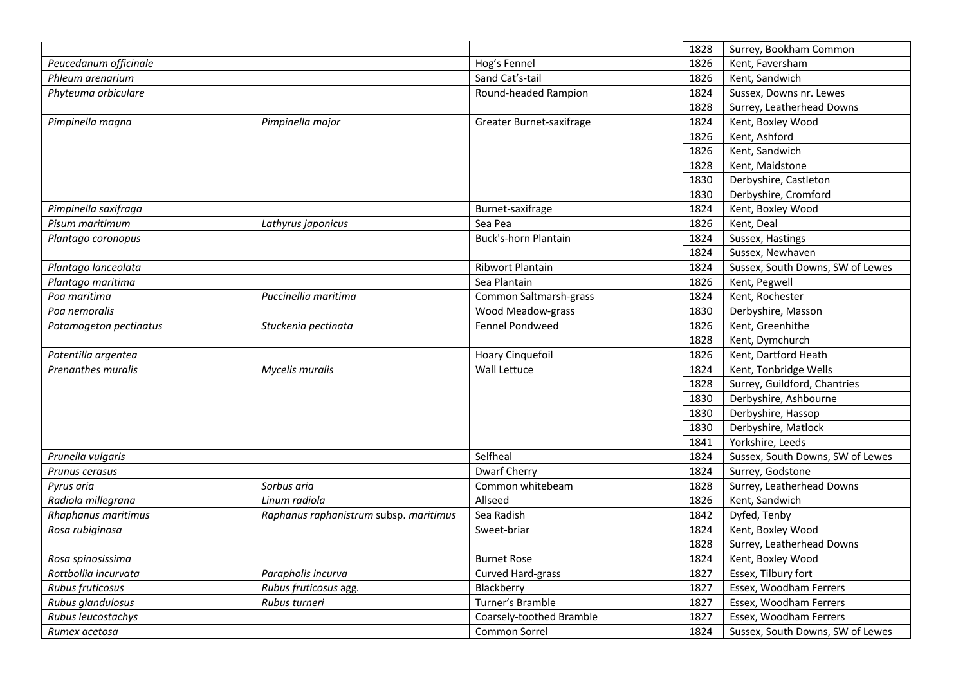|                        |                                        |                          | 1828 | Surrey, Bookham Common           |
|------------------------|----------------------------------------|--------------------------|------|----------------------------------|
| Peucedanum officinale  |                                        | Hog's Fennel             | 1826 | Kent, Faversham                  |
| Phleum arenarium       |                                        | Sand Cat's-tail          | 1826 | Kent, Sandwich                   |
| Phyteuma orbiculare    |                                        | Round-headed Rampion     | 1824 | Sussex, Downs nr. Lewes          |
|                        |                                        |                          | 1828 | Surrey, Leatherhead Downs        |
| Pimpinella magna       | Pimpinella major                       | Greater Burnet-saxifrage | 1824 | Kent, Boxley Wood                |
|                        |                                        |                          | 1826 | Kent, Ashford                    |
|                        |                                        |                          | 1826 | Kent, Sandwich                   |
|                        |                                        |                          | 1828 | Kent, Maidstone                  |
|                        |                                        |                          | 1830 | Derbyshire, Castleton            |
|                        |                                        |                          | 1830 | Derbyshire, Cromford             |
| Pimpinella saxifraga   |                                        | Burnet-saxifrage         | 1824 | Kent, Boxley Wood                |
| Pisum maritimum        | Lathyrus japonicus                     | Sea Pea                  | 1826 | Kent, Deal                       |
| Plantago coronopus     |                                        | Buck's-horn Plantain     | 1824 | Sussex, Hastings                 |
|                        |                                        |                          | 1824 | Sussex, Newhaven                 |
| Plantago lanceolata    |                                        | Ribwort Plantain         | 1824 | Sussex, South Downs, SW of Lewes |
| Plantago maritima      |                                        | Sea Plantain             | 1826 | Kent, Pegwell                    |
| Poa maritima           | Puccinellia maritima                   | Common Saltmarsh-grass   | 1824 | Kent, Rochester                  |
| Poa nemoralis          |                                        | Wood Meadow-grass        | 1830 | Derbyshire, Masson               |
| Potamogeton pectinatus | Stuckenia pectinata                    | <b>Fennel Pondweed</b>   | 1826 | Kent, Greenhithe                 |
|                        |                                        |                          | 1828 | Kent, Dymchurch                  |
| Potentilla argentea    |                                        | Hoary Cinquefoil         | 1826 | Kent, Dartford Heath             |
| Prenanthes muralis     | Mycelis muralis                        | Wall Lettuce             | 1824 | Kent, Tonbridge Wells            |
|                        |                                        |                          | 1828 | Surrey, Guildford, Chantries     |
|                        |                                        |                          | 1830 | Derbyshire, Ashbourne            |
|                        |                                        |                          | 1830 | Derbyshire, Hassop               |
|                        |                                        |                          | 1830 | Derbyshire, Matlock              |
|                        |                                        |                          | 1841 | Yorkshire, Leeds                 |
| Prunella vulgaris      |                                        | Selfheal                 | 1824 | Sussex, South Downs, SW of Lewes |
| Prunus cerasus         |                                        | <b>Dwarf Cherry</b>      | 1824 | Surrey, Godstone                 |
| Pyrus aria             | Sorbus aria                            | Common whitebeam         | 1828 | Surrey, Leatherhead Downs        |
| Radiola millegrana     | Linum radiola                          | Allseed                  | 1826 | Kent, Sandwich                   |
| Rhaphanus maritimus    | Raphanus raphanistrum subsp. maritimus | Sea Radish               | 1842 | Dyfed, Tenby                     |
| Rosa rubiginosa        |                                        | Sweet-briar              | 1824 | Kent, Boxley Wood                |
|                        |                                        |                          | 1828 | Surrey, Leatherhead Downs        |
| Rosa spinosissima      |                                        | <b>Burnet Rose</b>       | 1824 | Kent, Boxley Wood                |
| Rottbollia incurvata   | Parapholis incurva                     | Curved Hard-grass        | 1827 | Essex, Tilbury fort              |
| Rubus fruticosus       | Rubus fruticosus agg.                  | Blackberry               | 1827 | Essex, Woodham Ferrers           |
| Rubus glandulosus      | Rubus turneri                          | Turner's Bramble         | 1827 | Essex, Woodham Ferrers           |
| Rubus leucostachys     |                                        | Coarsely-toothed Bramble | 1827 | Essex, Woodham Ferrers           |
| Rumex acetosa          |                                        | Common Sorrel            | 1824 | Sussex, South Downs, SW of Lewes |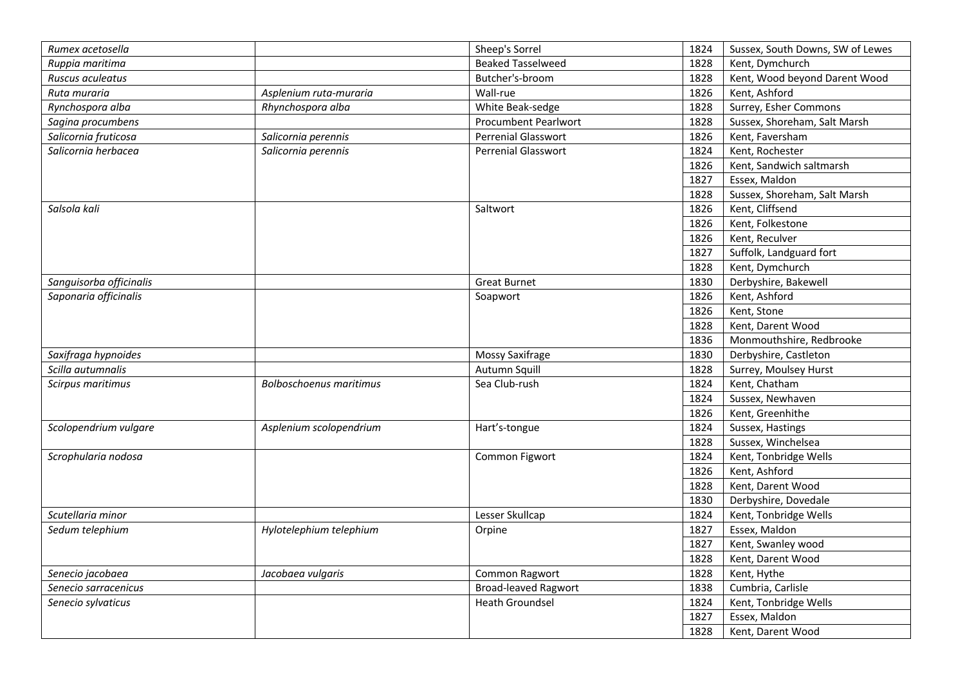|                                     |                                | Sheep's Sorrel              |              | Sussex, South Downs, SW of Lewes |
|-------------------------------------|--------------------------------|-----------------------------|--------------|----------------------------------|
| Rumex acetosella<br>Ruppia maritima |                                | <b>Beaked Tasselweed</b>    | 1824<br>1828 | Kent, Dymchurch                  |
| Ruscus aculeatus                    |                                | Butcher's-broom             | 1828         | Kent, Wood beyond Darent Wood    |
| Ruta muraria                        | Asplenium ruta-muraria         | Wall-rue                    | 1826         | Kent, Ashford                    |
| Rynchospora alba                    | Rhynchospora alba              |                             | 1828         |                                  |
|                                     |                                | White Beak-sedge            |              | Surrey, Esher Commons            |
| Sagina procumbens                   |                                | Procumbent Pearlwort        | 1828         | Sussex, Shoreham, Salt Marsh     |
| Salicornia fruticosa                | Salicornia perennis            | Perrenial Glasswort         | 1826         | Kent, Faversham                  |
| Salicornia herbacea                 | Salicornia perennis            | <b>Perrenial Glasswort</b>  | 1824         | Kent, Rochester                  |
|                                     |                                |                             | 1826         | Kent, Sandwich saltmarsh         |
|                                     |                                |                             | 1827         | Essex, Maldon                    |
|                                     |                                |                             | 1828         | Sussex, Shoreham, Salt Marsh     |
| Salsola kali                        |                                | Saltwort                    | 1826         | Kent, Cliffsend                  |
|                                     |                                |                             | 1826         | Kent, Folkestone                 |
|                                     |                                |                             | 1826         | Kent, Reculver                   |
|                                     |                                |                             | 1827         | Suffolk, Landguard fort          |
|                                     |                                |                             | 1828         | Kent, Dymchurch                  |
| Sanguisorba officinalis             |                                | <b>Great Burnet</b>         | 1830         | Derbyshire, Bakewell             |
| Saponaria officinalis               |                                | Soapwort                    | 1826         | Kent, Ashford                    |
|                                     |                                |                             | 1826         | Kent, Stone                      |
|                                     |                                |                             | 1828         | Kent, Darent Wood                |
|                                     |                                |                             | 1836         | Monmouthshire, Redbrooke         |
| Saxifraga hypnoides                 |                                | Mossy Saxifrage             | 1830         | Derbyshire, Castleton            |
| Scilla autumnalis                   |                                | Autumn Squill               | 1828         | Surrey, Moulsey Hurst            |
| Scirpus maritimus                   | <b>Bolboschoenus maritimus</b> | Sea Club-rush               | 1824         | Kent, Chatham                    |
|                                     |                                |                             | 1824         | Sussex, Newhaven                 |
|                                     |                                |                             | 1826         | Kent, Greenhithe                 |
| Scolopendrium vulgare               | Asplenium scolopendrium        | Hart's-tongue               | 1824         | Sussex, Hastings                 |
|                                     |                                |                             | 1828         | Sussex, Winchelsea               |
| Scrophularia nodosa                 |                                | Common Figwort              | 1824         | Kent, Tonbridge Wells            |
|                                     |                                |                             | 1826         | Kent, Ashford                    |
|                                     |                                |                             | 1828         | Kent, Darent Wood                |
|                                     |                                |                             | 1830         | Derbyshire, Dovedale             |
| Scutellaria minor                   |                                | Lesser Skullcap             | 1824         | Kent, Tonbridge Wells            |
| Sedum telephium                     | Hylotelephium telephium        | Orpine                      | 1827         | Essex, Maldon                    |
|                                     |                                |                             | 1827         | Kent, Swanley wood               |
|                                     |                                |                             | 1828         | Kent, Darent Wood                |
| Senecio jacobaea                    | Jacobaea vulgaris              | Common Ragwort              | 1828         | Kent, Hythe                      |
| Senecio sarracenicus                |                                | <b>Broad-leaved Ragwort</b> | 1838         | Cumbria, Carlisle                |
| Senecio sylvaticus                  |                                | <b>Heath Groundsel</b>      | 1824         | Kent, Tonbridge Wells            |
|                                     |                                |                             | 1827         | Essex, Maldon                    |
|                                     |                                |                             | 1828         | Kent, Darent Wood                |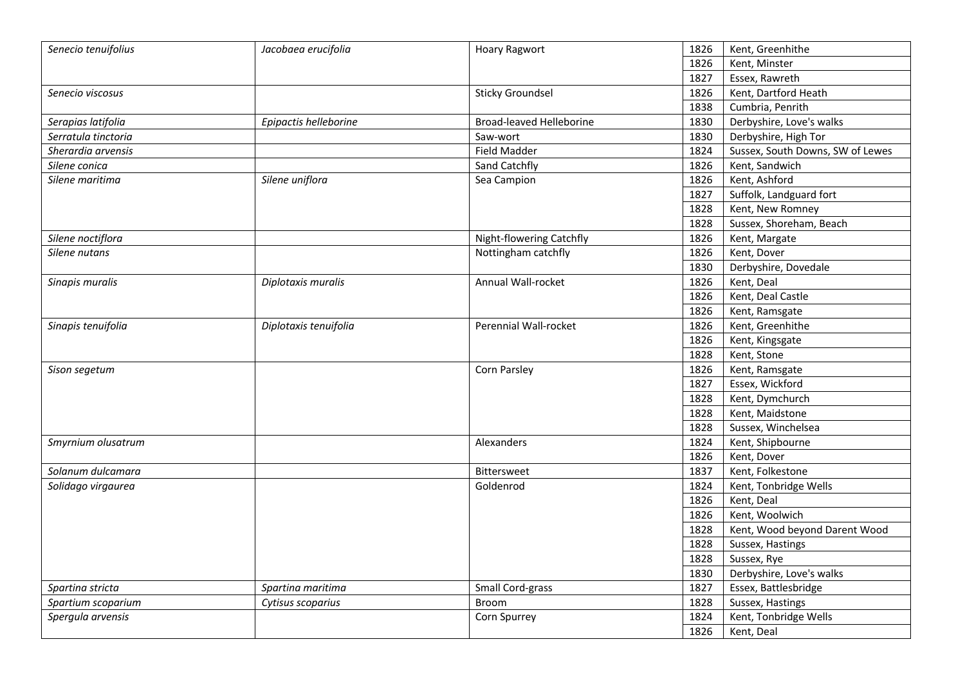| Senecio tenuifolius | Jacobaea erucifolia   | <b>Hoary Ragwort</b>            | 1826 | Kent, Greenhithe                 |
|---------------------|-----------------------|---------------------------------|------|----------------------------------|
|                     |                       |                                 | 1826 | Kent, Minster                    |
|                     |                       |                                 | 1827 | Essex, Rawreth                   |
| Senecio viscosus    |                       | <b>Sticky Groundsel</b>         | 1826 | Kent, Dartford Heath             |
|                     |                       |                                 | 1838 | Cumbria, Penrith                 |
| Serapias latifolia  | Epipactis helleborine | <b>Broad-leaved Helleborine</b> | 1830 | Derbyshire, Love's walks         |
| Serratula tinctoria |                       | Saw-wort                        | 1830 | Derbyshire, High Tor             |
| Sherardia arvensis  |                       | <b>Field Madder</b>             | 1824 | Sussex, South Downs, SW of Lewes |
| Silene conica       |                       | Sand Catchfly                   | 1826 | Kent, Sandwich                   |
| Silene maritima     | Silene uniflora       | Sea Campion                     | 1826 | Kent, Ashford                    |
|                     |                       |                                 | 1827 | Suffolk, Landguard fort          |
|                     |                       |                                 | 1828 | Kent, New Romney                 |
|                     |                       |                                 | 1828 | Sussex, Shoreham, Beach          |
| Silene noctiflora   |                       | Night-flowering Catchfly        | 1826 | Kent, Margate                    |
| Silene nutans       |                       | Nottingham catchfly             | 1826 | Kent, Dover                      |
|                     |                       |                                 | 1830 | Derbyshire, Dovedale             |
| Sinapis muralis     | Diplotaxis muralis    | Annual Wall-rocket              | 1826 | Kent, Deal                       |
|                     |                       |                                 | 1826 | Kent, Deal Castle                |
|                     |                       |                                 | 1826 | Kent, Ramsgate                   |
| Sinapis tenuifolia  | Diplotaxis tenuifolia | Perennial Wall-rocket           | 1826 | Kent, Greenhithe                 |
|                     |                       |                                 | 1826 | Kent, Kingsgate                  |
|                     |                       |                                 | 1828 | Kent, Stone                      |
| Sison segetum       |                       | Corn Parsley                    | 1826 | Kent, Ramsgate                   |
|                     |                       |                                 | 1827 | Essex, Wickford                  |
|                     |                       |                                 | 1828 | Kent, Dymchurch                  |
|                     |                       |                                 | 1828 | Kent, Maidstone                  |
|                     |                       |                                 | 1828 | Sussex, Winchelsea               |
| Smyrnium olusatrum  |                       | Alexanders                      | 1824 | Kent, Shipbourne                 |
|                     |                       |                                 | 1826 | Kent, Dover                      |
| Solanum dulcamara   |                       | <b>Bittersweet</b>              | 1837 | Kent, Folkestone                 |
| Solidago virgaurea  |                       | Goldenrod                       | 1824 | Kent, Tonbridge Wells            |
|                     |                       |                                 | 1826 | Kent, Deal                       |
|                     |                       |                                 | 1826 | Kent, Woolwich                   |
|                     |                       |                                 | 1828 | Kent, Wood beyond Darent Wood    |
|                     |                       |                                 | 1828 | Sussex, Hastings                 |
|                     |                       |                                 | 1828 | Sussex, Rye                      |
|                     |                       |                                 | 1830 | Derbyshire, Love's walks         |
| Spartina stricta    | Spartina maritima     | Small Cord-grass                | 1827 | Essex, Battlesbridge             |
| Spartium scoparium  | Cytisus scoparius     | <b>Broom</b>                    | 1828 | Sussex, Hastings                 |
| Spergula arvensis   |                       | Corn Spurrey                    | 1824 | Kent, Tonbridge Wells            |
|                     |                       |                                 | 1826 | Kent, Deal                       |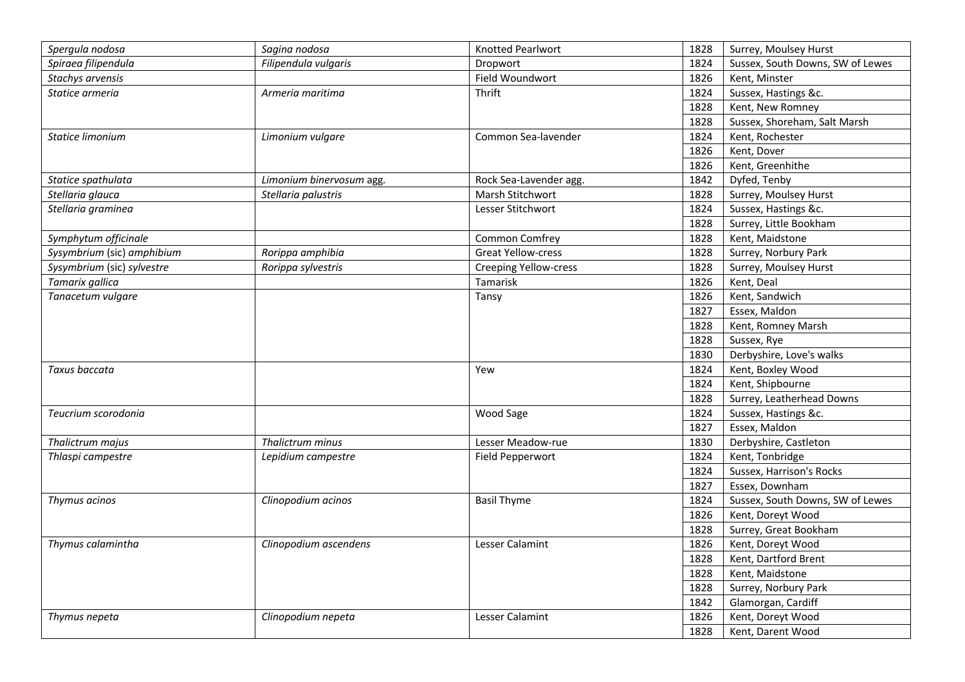| Spergula nodosa            | Sagina nodosa            | <b>Knotted Pearlwort</b>     | 1828 | Surrey, Moulsey Hurst            |
|----------------------------|--------------------------|------------------------------|------|----------------------------------|
| Spiraea filipendula        | Filipendula vulgaris     | Dropwort                     | 1824 | Sussex, South Downs, SW of Lewes |
| Stachys arvensis           |                          | Field Woundwort              | 1826 | Kent, Minster                    |
| Statice armeria            | Armeria maritima         | Thrift                       | 1824 | Sussex, Hastings &c.             |
|                            |                          |                              | 1828 | Kent, New Romney                 |
|                            |                          |                              | 1828 | Sussex, Shoreham, Salt Marsh     |
| Statice limonium           | Limonium vulgare         | Common Sea-lavender          | 1824 | Kent, Rochester                  |
|                            |                          |                              | 1826 | Kent, Dover                      |
|                            |                          |                              | 1826 | Kent, Greenhithe                 |
| Statice spathulata         | Limonium binervosum agg. | Rock Sea-Lavender agg.       | 1842 | Dyfed, Tenby                     |
| Stellaria glauca           | Stellaria palustris      | Marsh Stitchwort             | 1828 | Surrey, Moulsey Hurst            |
| Stellaria graminea         |                          | Lesser Stitchwort            | 1824 | Sussex, Hastings &c.             |
|                            |                          |                              | 1828 | Surrey, Little Bookham           |
| Symphytum officinale       |                          | Common Comfrey               | 1828 | Kent, Maidstone                  |
| Sysymbrium (sic) amphibium | Rorippa amphibia         | <b>Great Yellow-cress</b>    | 1828 | Surrey, Norbury Park             |
| Sysymbrium (sic) sylvestre | Rorippa sylvestris       | <b>Creeping Yellow-cress</b> | 1828 | Surrey, Moulsey Hurst            |
| Tamarix gallica            |                          | Tamarisk                     | 1826 | Kent, Deal                       |
| Tanacetum vulgare          |                          | Tansy                        | 1826 | Kent, Sandwich                   |
|                            |                          |                              | 1827 | Essex, Maldon                    |
|                            |                          |                              | 1828 | Kent, Romney Marsh               |
|                            |                          |                              | 1828 | Sussex, Rye                      |
|                            |                          |                              | 1830 | Derbyshire, Love's walks         |
| Taxus baccata              |                          | Yew                          | 1824 | Kent, Boxley Wood                |
|                            |                          |                              | 1824 | Kent, Shipbourne                 |
|                            |                          |                              | 1828 | Surrey, Leatherhead Downs        |
| Teucrium scorodonia        |                          | Wood Sage                    | 1824 | Sussex, Hastings &c.             |
|                            |                          |                              | 1827 | Essex, Maldon                    |
| Thalictrum majus           | Thalictrum minus         | Lesser Meadow-rue            | 1830 | Derbyshire, Castleton            |
| Thlaspi campestre          | Lepidium campestre       | Field Pepperwort             | 1824 | Kent, Tonbridge                  |
|                            |                          |                              | 1824 | Sussex, Harrison's Rocks         |
|                            |                          |                              | 1827 | Essex, Downham                   |
| Thymus acinos              | Clinopodium acinos       | <b>Basil Thyme</b>           | 1824 | Sussex, South Downs, SW of Lewes |
|                            |                          |                              | 1826 | Kent, Doreyt Wood                |
|                            |                          |                              | 1828 | Surrey, Great Bookham            |
| Thymus calamintha          | Clinopodium ascendens    | Lesser Calamint              | 1826 | Kent, Doreyt Wood                |
|                            |                          |                              | 1828 | Kent, Dartford Brent             |
|                            |                          |                              | 1828 | Kent, Maidstone                  |
|                            |                          |                              | 1828 | Surrey, Norbury Park             |
|                            |                          |                              | 1842 | Glamorgan, Cardiff               |
| Thymus nepeta              | Clinopodium nepeta       | Lesser Calamint              | 1826 | Kent, Doreyt Wood                |
|                            |                          |                              | 1828 | Kent, Darent Wood                |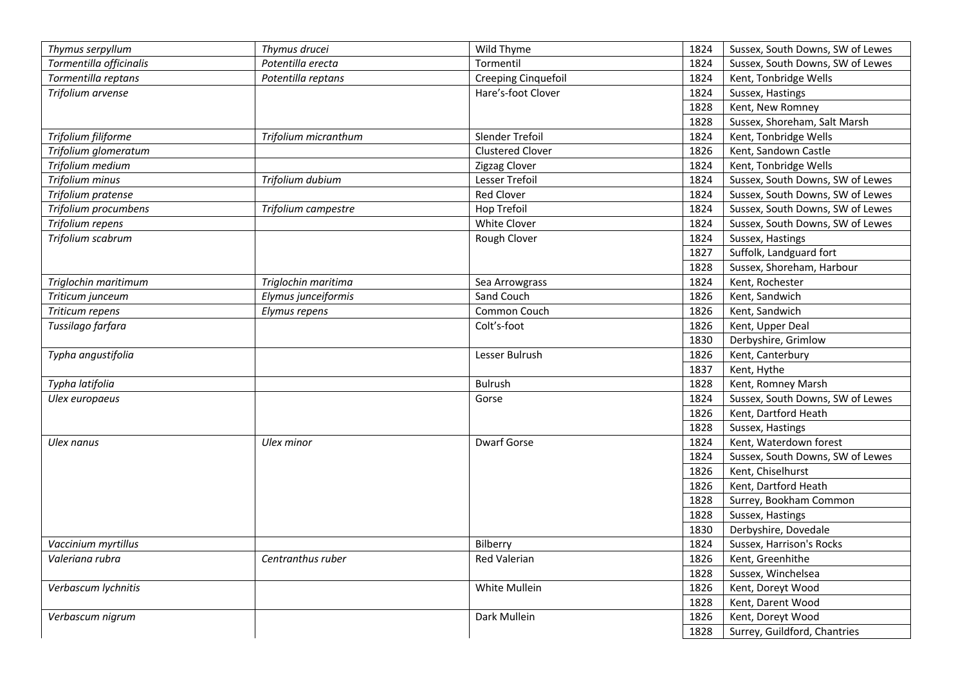| Thymus serpyllum        | Thymus drucei        | Wild Thyme          | 1824 | Sussex, South Downs, SW of Lewes |
|-------------------------|----------------------|---------------------|------|----------------------------------|
| Tormentilla officinalis | Potentilla erecta    | Tormentil           | 1824 | Sussex, South Downs, SW of Lewes |
| Tormentilla reptans     | Potentilla reptans   | Creeping Cinquefoil | 1824 | Kent, Tonbridge Wells            |
| Trifolium arvense       |                      | Hare's-foot Clover  | 1824 | Sussex, Hastings                 |
|                         |                      |                     | 1828 | Kent, New Romney                 |
|                         |                      |                     | 1828 | Sussex, Shoreham, Salt Marsh     |
| Trifolium filiforme     | Trifolium micranthum | Slender Trefoil     | 1824 |                                  |
|                         |                      |                     |      | Kent, Tonbridge Wells            |
| Trifolium glomeratum    |                      | Clustered Clover    | 1826 | Kent, Sandown Castle             |
| Trifolium medium        |                      | Zigzag Clover       | 1824 | Kent, Tonbridge Wells            |
| Trifolium minus         | Trifolium dubium     | Lesser Trefoil      | 1824 | Sussex, South Downs, SW of Lewes |
| Trifolium pratense      |                      | <b>Red Clover</b>   | 1824 | Sussex, South Downs, SW of Lewes |
| Trifolium procumbens    | Trifolium campestre  | Hop Trefoil         | 1824 | Sussex, South Downs, SW of Lewes |
| Trifolium repens        |                      | White Clover        | 1824 | Sussex, South Downs, SW of Lewes |
| Trifolium scabrum       |                      | Rough Clover        | 1824 | Sussex, Hastings                 |
|                         |                      |                     | 1827 | Suffolk, Landguard fort          |
|                         |                      |                     | 1828 | Sussex, Shoreham, Harbour        |
| Triglochin maritimum    | Triglochin maritima  | Sea Arrowgrass      | 1824 | Kent, Rochester                  |
| Triticum junceum        | Elymus junceiformis  | Sand Couch          | 1826 | Kent, Sandwich                   |
| Triticum repens         | Elymus repens        | Common Couch        | 1826 | Kent, Sandwich                   |
| Tussilago farfara       |                      | Colt's-foot         | 1826 | Kent, Upper Deal                 |
|                         |                      |                     | 1830 | Derbyshire, Grimlow              |
| Typha angustifolia      |                      | Lesser Bulrush      | 1826 | Kent, Canterbury                 |
|                         |                      |                     | 1837 | Kent, Hythe                      |
| Typha latifolia         |                      | Bulrush             | 1828 | Kent, Romney Marsh               |
| Ulex europaeus          |                      | Gorse               | 1824 | Sussex, South Downs, SW of Lewes |
|                         |                      |                     | 1826 | Kent, Dartford Heath             |
|                         |                      |                     | 1828 | Sussex, Hastings                 |
| Ulex nanus              | Ulex minor           | <b>Dwarf Gorse</b>  | 1824 | Kent, Waterdown forest           |
|                         |                      |                     |      |                                  |
|                         |                      |                     | 1824 | Sussex, South Downs, SW of Lewes |
|                         |                      |                     | 1826 | Kent, Chiselhurst                |
|                         |                      |                     | 1826 | Kent, Dartford Heath             |
|                         |                      |                     | 1828 | Surrey, Bookham Common           |
|                         |                      |                     | 1828 | Sussex, Hastings                 |
|                         |                      |                     | 1830 | Derbyshire, Dovedale             |
| Vaccinium myrtillus     |                      | Bilberry            | 1824 | Sussex, Harrison's Rocks         |
| Valeriana rubra         | Centranthus ruber    | Red Valerian        | 1826 | Kent, Greenhithe                 |
|                         |                      |                     | 1828 | Sussex, Winchelsea               |
| Verbascum lychnitis     |                      | White Mullein       | 1826 | Kent, Doreyt Wood                |
|                         |                      |                     | 1828 | Kent, Darent Wood                |
| Verbascum nigrum        |                      | Dark Mullein        | 1826 | Kent, Doreyt Wood                |
|                         |                      |                     | 1828 | Surrey, Guildford, Chantries     |
|                         |                      |                     |      |                                  |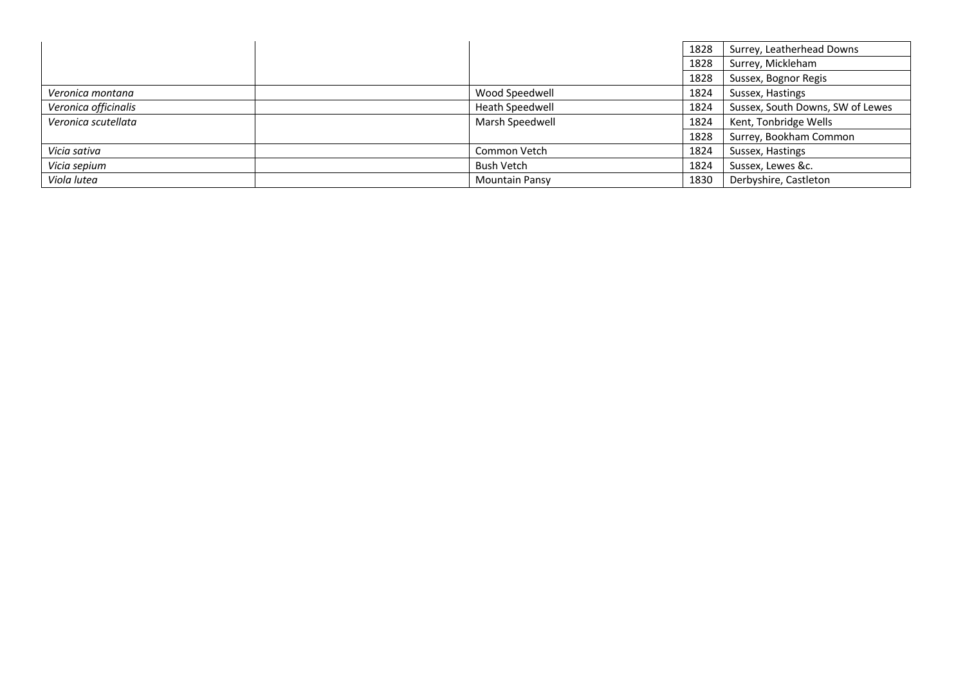|                      |                       | 1828 | Surrey, Leatherhead Downs        |
|----------------------|-----------------------|------|----------------------------------|
|                      |                       | 1828 | Surrey, Mickleham                |
|                      |                       | 1828 | Sussex, Bognor Regis             |
| Veronica montana     | Wood Speedwell        | 1824 | Sussex, Hastings                 |
| Veronica officinalis | Heath Speedwell       | 1824 | Sussex, South Downs, SW of Lewes |
| Veronica scutellata  | Marsh Speedwell       | 1824 | Kent, Tonbridge Wells            |
|                      |                       | 1828 | Surrey, Bookham Common           |
| Vicia sativa         | Common Vetch          | 1824 | Sussex, Hastings                 |
| Vicia sepium         | <b>Bush Vetch</b>     | 1824 | Sussex, Lewes &c.                |
| Viola lutea          | <b>Mountain Pansy</b> | 1830 | Derbyshire, Castleton            |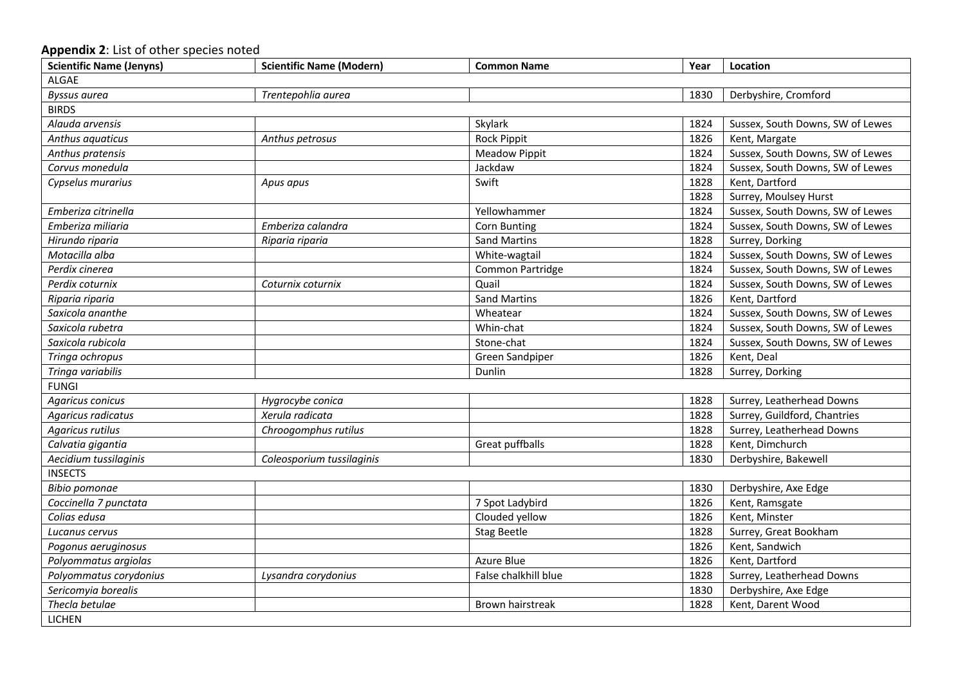## **Appendix 2**: List of other species noted

| <b>Scientific Name (Jenyns)</b> | <b>Scientific Name (Modern)</b> | <b>Common Name</b>   | Year | Location                         |  |
|---------------------------------|---------------------------------|----------------------|------|----------------------------------|--|
| <b>ALGAE</b>                    |                                 |                      |      |                                  |  |
| Byssus aurea                    | Trentepohlia aurea              |                      | 1830 | Derbyshire, Cromford             |  |
| <b>BIRDS</b>                    |                                 |                      |      |                                  |  |
| Alauda arvensis                 |                                 | Skylark              | 1824 | Sussex, South Downs, SW of Lewes |  |
| Anthus aquaticus                | Anthus petrosus                 | <b>Rock Pippit</b>   | 1826 | Kent, Margate                    |  |
| Anthus pratensis                |                                 | <b>Meadow Pippit</b> | 1824 | Sussex, South Downs, SW of Lewes |  |
| Corvus monedula                 |                                 | Jackdaw              | 1824 | Sussex, South Downs, SW of Lewes |  |
| Cypselus murarius               | Apus apus                       | Swift                | 1828 | Kent, Dartford                   |  |
|                                 |                                 |                      | 1828 | Surrey, Moulsey Hurst            |  |
| Emberiza citrinella             |                                 | Yellowhammer         | 1824 | Sussex, South Downs, SW of Lewes |  |
| Emberiza miliaria               | Emberiza calandra               | Corn Bunting         | 1824 | Sussex, South Downs, SW of Lewes |  |
| Hirundo riparia                 | Riparia riparia                 | <b>Sand Martins</b>  | 1828 | Surrey, Dorking                  |  |
| Motacilla alba                  |                                 | White-wagtail        | 1824 | Sussex, South Downs, SW of Lewes |  |
| Perdix cinerea                  |                                 | Common Partridge     | 1824 | Sussex, South Downs, SW of Lewes |  |
| Perdix coturnix                 | Coturnix coturnix               | Quail                | 1824 | Sussex, South Downs, SW of Lewes |  |
| Riparia riparia                 |                                 | <b>Sand Martins</b>  | 1826 | Kent, Dartford                   |  |
| Saxicola ananthe                |                                 | Wheatear             | 1824 | Sussex, South Downs, SW of Lewes |  |
| Saxicola rubetra                |                                 | Whin-chat            | 1824 | Sussex, South Downs, SW of Lewes |  |
| Saxicola rubicola               |                                 | Stone-chat           | 1824 | Sussex, South Downs, SW of Lewes |  |
| Tringa ochropus                 |                                 | Green Sandpiper      | 1826 | Kent, Deal                       |  |
| Tringa variabilis               |                                 | Dunlin               | 1828 | Surrey, Dorking                  |  |
| <b>FUNGI</b>                    |                                 |                      |      |                                  |  |
| Agaricus conicus                | Hygrocybe conica                |                      | 1828 | Surrey, Leatherhead Downs        |  |
| Agaricus radicatus              | Xerula radicata                 |                      | 1828 | Surrey, Guildford, Chantries     |  |
| Agaricus rutilus                | Chroogomphus rutilus            |                      | 1828 | Surrey, Leatherhead Downs        |  |
| Calvatia gigantia               |                                 | Great puffballs      | 1828 | Kent, Dimchurch                  |  |
| Aecidium tussilaginis           | Coleosporium tussilaginis       |                      | 1830 | Derbyshire, Bakewell             |  |
| <b>INSECTS</b>                  |                                 |                      |      |                                  |  |
| <b>Bibio pomonae</b>            |                                 |                      | 1830 | Derbyshire, Axe Edge             |  |
| Coccinella 7 punctata           |                                 | 7 Spot Ladybird      | 1826 | Kent, Ramsgate                   |  |
| Colias edusa                    |                                 | Clouded yellow       | 1826 | Kent, Minster                    |  |
| Lucanus cervus                  |                                 | <b>Stag Beetle</b>   | 1828 | Surrey, Great Bookham            |  |
| Pogonus aeruginosus             |                                 |                      | 1826 | Kent, Sandwich                   |  |
| Polyommatus argiolas            |                                 | Azure Blue           | 1826 | Kent, Dartford                   |  |
| Polyommatus corydonius          | Lysandra corydonius             | False chalkhill blue | 1828 | Surrey, Leatherhead Downs        |  |
| Sericomyia borealis             |                                 |                      | 1830 | Derbyshire, Axe Edge             |  |
| Thecla betulae                  |                                 | Brown hairstreak     | 1828 | Kent, Darent Wood                |  |
| <b>LICHEN</b>                   |                                 |                      |      |                                  |  |